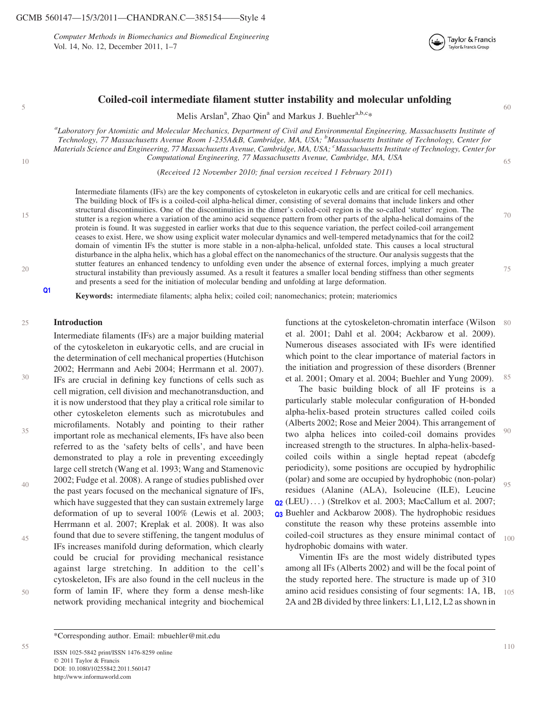Computer Methods in Biomechanics and Biomedical Engineering Vol. 14, No. 12, December 2011, 1–7



# Coiled-coil intermediate filament stutter instability and molecular unfolding

Melis Arslan<sup>a</sup>, Zhao Qin<sup>a</sup> and Markus J. Buehler<sup>a,b,c</sup>\*

<sup>a</sup>Laboratory for Atomistic and Molecular Mechanics, Department of Civil and Environmental Engineering, Massachusetts Institute of Technology, 77 Massachusetts Avenue Room 1-235A&B, Cambridge, MA, USA; <sup>b</sup>Massachusetts Institute of Technology, Center for Materials Science and Engineering, 77 Massachusetts Avenue, Cambridge, MA, USA; <sup>c</sup>Massachusetts Institute of Technology, Center for Computational Engineering, 77 Massachusetts Avenue, Cambridge, MA, USA

(Received 12 November 2010; final version received 1 February 2011)

Intermediate filaments (IFs) are the key components of cytoskeleton in eukaryotic cells and are critical for cell mechanics. The building block of IFs is a coiled-coil alpha-helical dimer, consisting of several domains that include linkers and other structural discontinuities. One of the discontinuities in the dimer's coiled-coil region is the so-called 'stutter' region. The stutter is a region where a variation of the amino acid sequence pattern from other parts of the alpha-helical domains of the protein is found. It was suggested in earlier works that due to this sequence variation, the perfect coiled-coil arrangement ceases to exist. Here, we show using explicit water molecular dynamics and well-tempered metadynamics that for the coil2 domain of vimentin IFs the stutter is more stable in a non-alpha-helical, unfolded state. This causes a local structural disturbance in the alpha helix, which has a global effect on the nanomechanics of the structure. Our analysis suggests that the stutter features an enhanced tendency to unfolding even under the absence of external forces, implying a much greater structural instability than previously assumed. As a result it features a smaller local bending stiffness than other segments and presents a seed for the initiation of molecular bending and unfolding at large deformation.

Keywords: intermediate filaments; alpha helix; coiled coil; nanomechanics; protein; materiomics Q1

#### Introduction  $25$

Intermediate filaments (IFs) are a major building material of the cytoskeleton in eukaryotic cells, and are crucial in the determination of cell mechanical properties (Hutchison 2002; Herrmann and Aebi 2004; Herrmann et al. 2007). IFs are crucial in defining key functions of cells such as cell migration, cell division and mechanotransduction, and it is now understood that they play a critical role similar to other cytoskeleton elements such as microtubules and microfilaments. Notably and pointing to their rather important role as mechanical elements, IFs have also been referred to as the 'safety belts of cells', and have been demonstrated to play a role in preventing exceedingly large cell stretch (Wang et al. 1993; Wang and Stamenovic 2002; Fudge et al. 2008). A range of studies published over the past years focused on the mechanical signature of IFs, which have suggested that they can sustain extremely large deformation of up to several 100% (Lewis et al. 2003; Herrmann et al. 2007; Kreplak et al. 2008). It was also found that due to severe stiffening, the tangent modulus of IFs increases manifold during deformation, which clearly could be crucial for providing mechanical resistance against large stretching. In addition to the cell's cytoskeleton, IFs are also found in the cell nucleus in the form of lamin IF, where they form a dense mesh-like network providing mechanical integrity and biochemical

functions at the cytoskeleton-chromatin interface (Wilson 80 et al. 2001; Dahl et al. 2004; Ackbarow et al. 2009). Numerous diseases associated with IFs were identified which point to the clear importance of material factors in the initiation and progression of these disorders (Brenner et al. 2001; Omary et al. 2004; Buehler and Yung 2009). 85

The basic building block of all IF proteins is a particularly stable molecular configuration of H-bonded alpha-helix-based protein structures called coiled coils (Alberts 2002; Rose and Meier 2004). This arrangement of two alpha helices into coiled-coil domains provides increased strength to the structures. In alpha-helix-basedcoiled coils within a single heptad repeat (abcdefg periodicity), some positions are occupied by hydrophilic (polar) and some are occupied by hydrophobic (non-polar) residues (Alanine (ALA), Isoleucine (ILE), Leucine Q2 (LEU) ...) (Strelkov et al. 2003; MacCallum et al. 2007; Q3 Buehler and Ackbarow 2008). The hydrophobic residues constitute the reason why these proteins assemble into coiled-coil structures as they ensure minimal contact of hydrophobic domains with water. 90 95 100

Vimentin IFs are the most widely distributed types among all IFs (Alberts 2002) and will be the focal point of the study reported here. The structure is made up of 310 amino acid residues consisting of four segments: 1A, 1B, 2A and 2B divided by three linkers: L1, L12, L2 as shown in 105

60

65

70

75



30

5

10

15

20

35

40

45

50

55

<sup>\*</sup>Corresponding author. Email: mbuehler@mit.edu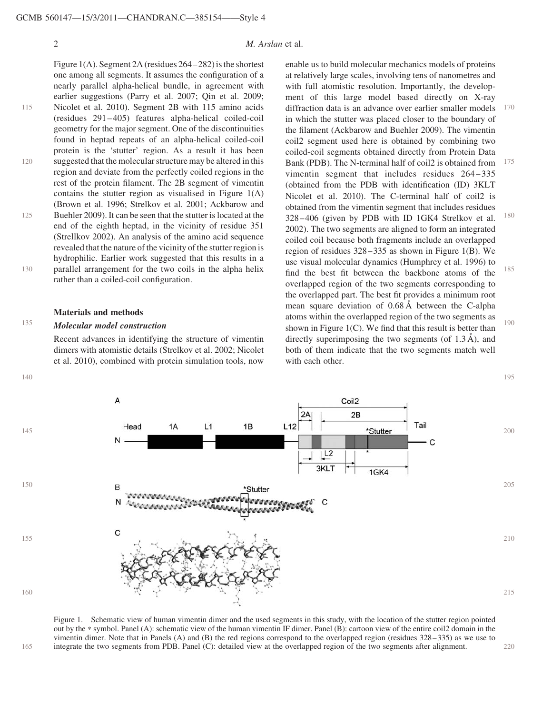# 2 M. Arslan et al.

Figure 1(A). Segment 2A (residues 264– 282) is the shortest one among all segments. It assumes the configuration of a nearly parallel alpha-helical bundle, in agreement with earlier suggestions (Parry et al. 2007; Qin et al. 2009; Nicolet et al. 2010). Segment 2B with 115 amino acids (residues 291 – 405) features alpha-helical coiled-coil geometry for the major segment. One of the discontinuities found in heptad repeats of an alpha-helical coiled-coil protein is the 'stutter' region. As a result it has been suggested that the molecular structure may be altered in this region and deviate from the perfectly coiled regions in the rest of the protein filament. The 2B segment of vimentin contains the stutter region as visualised in Figure 1(A) (Brown et al. 1996; Strelkov et al. 2001; Ackbarow and Buehler 2009). It can be seen that the stutter is located at the end of the eighth heptad, in the vicinity of residue 351 (Strellkov 2002). An analysis of the amino acid sequence revealed that the nature of the vicinity of the stutter region is hydrophilic. Earlier work suggested that this results in a parallel arrangement for the two coils in the alpha helix rather than a coiled-coil configuration. 115 120 125 130

### Materials and methods

# Molecular model construction

Recent advances in identifying the structure of vimentin dimers with atomistic details (Strelkov et al. 2002; Nicolet et al. 2010), combined with protein simulation tools, now

enable us to build molecular mechanics models of proteins at relatively large scales, involving tens of nanometres and with full atomistic resolution. Importantly, the development of this large model based directly on X-ray diffraction data is an advance over earlier smaller models in which the stutter was placed closer to the boundary of the filament (Ackbarow and Buehler 2009). The vimentin coil2 segment used here is obtained by combining two coiled-coil segments obtained directly from Protein Data Bank (PDB). The N-terminal half of coil2 is obtained from vimentin segment that includes residues 264-335 (obtained from the PDB with identification (ID) 3KLT Nicolet et al. 2010). The C-terminal half of coil2 is obtained from the vimentin segment that includes residues 328 –406 (given by PDB with ID 1GK4 Strelkov et al. 2002). The two segments are aligned to form an integrated coiled coil because both fragments include an overlapped region of residues  $328 - 335$  as shown in Figure 1(B). We use visual molecular dynamics (Humphrey et al. 1996) to find the best fit between the backbone atoms of the overlapped region of the two segments corresponding to the overlapped part. The best fit provides a minimum root mean square deviation of 0.68 Å between the C-alpha atoms within the overlapped region of the two segments as shown in Figure  $1(C)$ . We find that this result is better than directly superimposing the two segments (of  $1.3 \text{ Å}$ ), and both of them indicate that the two segments match well with each other. 170 175 180 185 190

140

135



Figure 1. Schematic view of human vimentin dimer and the used segments in this study, with the location of the stutter region pointed out by the \* symbol. Panel (A): schematic view of the human vimentin IF dimer. Panel (B): cartoon view of the entire coil2 domain in the vimentin dimer. Note that in Panels (A) and (B) the red regions correspond to the overlapped region (residues  $328-335$ ) as we use to integrate the two segments from PDB. Panel (C): detailed view at the overlapped region of the two segments after alignment.

220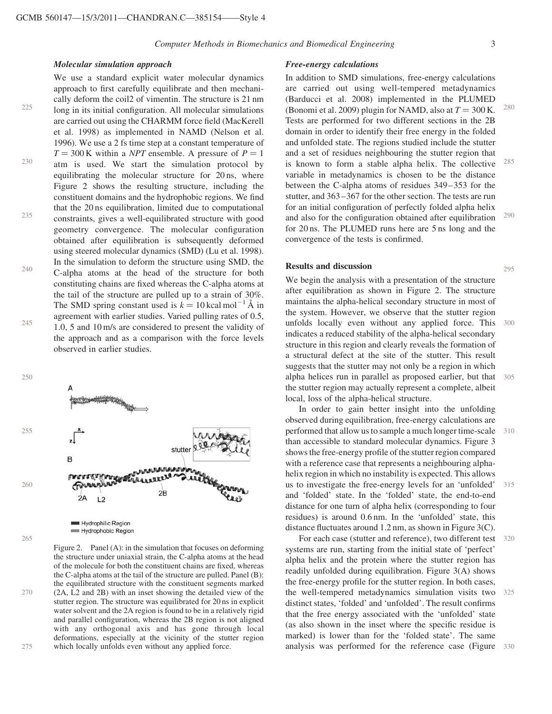We use a standard explicit water molecular dynamics approach to first carefully equilibrate and then mechanically deform the coil2 of vimentin. The structure is 21 nm

295

### Molecular simulation approach

225

230

235

240

245

long in its initial configuration. All molecular simulations are carried out using the CHARMM force field (MacKerell et al. 1998) as implemented in NAMD (Nelson et al. 1996). We use a 2 fs time step at a constant temperature of  $T = 300$  K within a *NPT* ensemble. A pressure of  $P = 1$ atm is used. We start the simulation protocol by equilibrating the molecular structure for 20 ns, where Figure 2 shows the resulting structure, including the constituent domains and the hydrophobic regions. We find that the 20 ns equilibration, limited due to computational constraints, gives a well-equilibrated structure with good geometry convergence. The molecular configuration obtained after equilibration is subsequently deformed using steered molecular dynamics (SMD) (Lu et al. 1998). In the simulation to deform the structure using SMD, the C-alpha atoms at the head of the structure for both constituting chains are fixed whereas the C-alpha atoms at the tail of the structure are pulled up to a strain of 30%. The SMD spring constant used is  $k = 10 \text{ kcal mol}^{-1} \text{Å}$  in agreement with earlier studies. Varied pulling rates of 0.5, 1.0, 5 and 10 m/s are considered to present the validity of the approach and as a comparison with the force levels observed in earlier studies.

# Free-energy calculations

In addition to SMD simulations, free-energy calculations are carried out using well-tempered metadynamics (Barducci et al. 2008) implemented in the PLUMED (Bonomi et al. 2009) plugin for NAMD, also at  $T = 300$  K. Tests are performed for two different sections in the 2B domain in order to identify their free energy in the folded and unfolded state. The regions studied include the stutter and a set of residues neighbouring the stutter region that is known to form a stable alpha helix. The collective variable in metadynamics is chosen to be the distance between the C-alpha atoms of residues 349–353 for the stutter, and 363–367 for the other section. The tests are run for an initial configuration of perfectly folded alpha helix and also for the configuration obtained after equilibration for 20 ns. The PLUMED runs here are 5 ns long and the convergence of the tests is confirmed. 280 285 290

# Results and discussion

We begin the analysis with a presentation of the structure after equilibration as shown in Figure 2. The structure maintains the alpha-helical secondary structure in most of the system. However, we observe that the stutter region unfolds locally even without any applied force. This indicates a reduced stability of the alpha-helical secondary structure in this region and clearly reveals the formation of a structural defect at the site of the stutter. This result suggests that the stutter may not only be a region in which alpha helices run in parallel as proposed earlier, but that 305 the stutter region may actually represent a complete, albeit local, loss of the alpha-helical structure. 300

In order to gain better insight into the unfolding observed during equilibration, free-energy calculations are performed that allow us to sample a much longer time-scale 310 than accessible to standard molecular dynamics. Figure 3 shows the free-energy profile of the stutter region compared with a reference case that represents a neighbouring alphahelix region in which no instability is expected. This allows us to investigate the free-energy levels for an 'unfolded' and 'folded' state. In the 'folded' state, the end-to-end distance for one turn of alpha helix (corresponding to four residues) is around 0.6 nm. In the 'unfolded' state, this distance fluctuates around 1.2 nm, as shown in Figure 3(C). 315

For each case (stutter and reference), two different test 320 systems are run, starting from the initial state of 'perfect' alpha helix and the protein where the stutter region has readily unfolded during equilibration. Figure 3(A) shows the free-energy profile for the stutter region. In both cases, the well-tempered metadynamics simulation visits two 325 distinct states, 'folded' and 'unfolded'. The result confirms that the free energy associated with the 'unfolded' state (as also shown in the inset where the specific residue is marked) is lower than for the 'folded state'. The same analysis was performed for the reference case (Figure 330



Figure 2. Panel (A): in the simulation that focuses on deforming the structure under uniaxial strain, the C-alpha atoms at the head of the molecule for both the constituent chains are fixed, whereas the C-alpha atoms at the tail of the structure are pulled. Panel (B): the equilibrated structure with the constituent segments marked (2A, L2 and 2B) with an inset showing the detailed view of the stutter region. The structure was equilibrated for 20 ns in explicit water solvent and the 2A region is found to be in a relatively rigid and parallel configuration, whereas the 2B region is not aligned with any orthogonal axis and has gone through local deformations, especially at the vicinity of the stutter region which locally unfolds even without any applied force.

275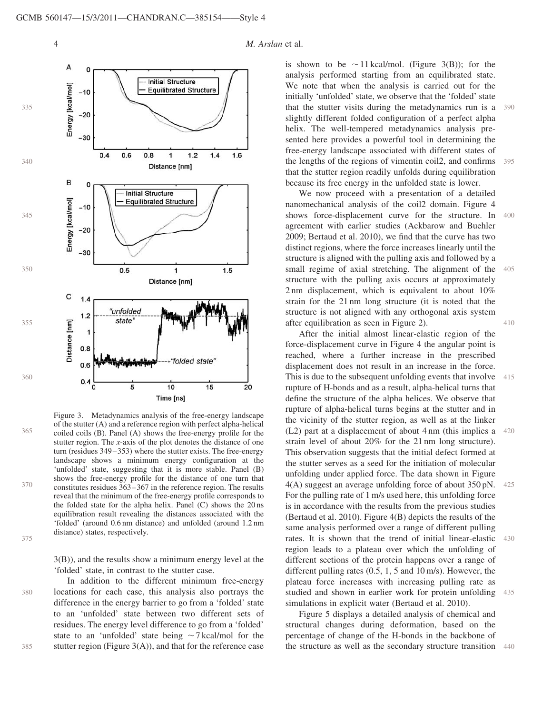

# 4 M. Arslan et al.



Figure 3. Metadynamics analysis of the free-energy landscape of the stutter (A) and a reference region with perfect alpha-helical coiled coils (B). Panel (A) shows the free-energy profile for the stutter region. The x-axis of the plot denotes the distance of one turn (residues 349–353) where the stutter exists. The free-energy landscape shows a minimum energy configuration at the 'unfolded' state, suggesting that it is more stable. Panel (B) shows the free-energy profile for the distance of one turn that constitutes residues 363–367 in the reference region. The results reveal that the minimum of the free-energy profile corresponds to the folded state for the alpha helix. Panel (C) shows the 20 ns equilibration result revealing the distances associated with the 'folded' (around 0.6 nm distance) and unfolded (around 1.2 nm distance) states, respectively. 365 370 375

3(B)), and the results show a minimum energy level at the 'folded' state, in contrast to the stutter case.

In addition to the different minimum free-energy locations for each case, this analysis also portrays the difference in the energy barrier to go from a 'folded' state to an 'unfolded' state between two different sets of residues. The energy level difference to go from a 'folded' state to an 'unfolded' state being  $\sim$ 7 kcal/mol for the stutter region (Figure  $3(A)$ ), and that for the reference case 380 385

is shown to be  $\sim$  11 kcal/mol. (Figure 3(B)); for the analysis performed starting from an equilibrated state. We note that when the analysis is carried out for the initially 'unfolded' state, we observe that the 'folded' state that the stutter visits during the metadynamics run is a 390 slightly different folded configuration of a perfect alpha helix. The well-tempered metadynamics analysis presented here provides a powerful tool in determining the free-energy landscape associated with different states of the lengths of the regions of vimentin coil2, and confirms that the stutter region readily unfolds during equilibration because its free energy in the unfolded state is lower. 395

We now proceed with a presentation of a detailed nanomechanical analysis of the coil2 domain. Figure 4 shows force-displacement curve for the structure. In 400 agreement with earlier studies (Ackbarow and Buehler 2009; Bertaud et al. 2010), we find that the curve has two distinct regions, where the force increases linearly until the structure is aligned with the pulling axis and followed by a small regime of axial stretching. The alignment of the structure with the pulling axis occurs at approximately 2 nm displacement, which is equivalent to about 10% strain for the 21 nm long structure (it is noted that the structure is not aligned with any orthogonal axis system after equilibration as seen in Figure 2). 405 410

After the initial almost linear-elastic region of the force-displacement curve in Figure 4 the angular point is reached, where a further increase in the prescribed displacement does not result in an increase in the force. This is due to the subsequent unfolding events that involve 415 rupture of H-bonds and as a result, alpha-helical turns that define the structure of the alpha helices. We observe that rupture of alpha-helical turns begins at the stutter and in the vicinity of the stutter region, as well as at the linker (L2) part at a displacement of about 4 nm (this implies a 420 strain level of about 20% for the 21 nm long structure). This observation suggests that the initial defect formed at the stutter serves as a seed for the initiation of molecular unfolding under applied force. The data shown in Figure 4(A) suggest an average unfolding force of about 350 pN. For the pulling rate of 1 m/s used here, this unfolding force is in accordance with the results from the previous studies (Bertaud et al. 2010). Figure 4(B) depicts the results of the same analysis performed over a range of different pulling rates. It is shown that the trend of initial linear-elastic 430 region leads to a plateau over which the unfolding of different sections of the protein happens over a range of different pulling rates (0.5, 1, 5 and 10 m/s). However, the plateau force increases with increasing pulling rate as studied and shown in earlier work for protein unfolding simulations in explicit water (Bertaud et al. 2010). 425 435

Figure 5 displays a detailed analysis of chemical and structural changes during deformation, based on the percentage of change of the H-bonds in the backbone of the structure as well as the secondary structure transition 440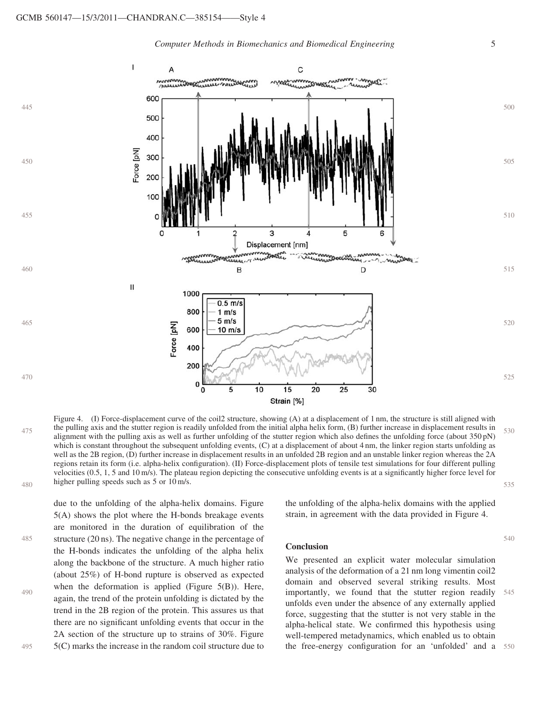

Figure 4. (I) Force-displacement curve of the coil2 structure, showing (A) at a displacement of 1 nm, the structure is still aligned with the pulling axis and the stutter region is readily unfolded from the initial alpha helix form, (B) further increase in displacement results in alignment with the pulling axis as well as further unfolding of the stutter region which also defines the unfolding force (about 350 pN) which is constant throughout the subsequent unfolding events, (C) at a displacement of about 4 nm, the linker region starts unfolding as well as the 2B region, (D) further increase in displacement results in an unfolded 2B region and an unstable linker region whereas the 2A regions retain its form (i.e. alpha-helix configuration). (II) Force-displacement plots of tensile test simulations for four different pulling velocities (0.5, 1, 5 and 10 m/s). The plateau region depicting the consecutive unfolding events is at a significantly higher force level for higher pulling speeds such as 5 or 10 m/s. 475 480 530 535

due to the unfolding of the alpha-helix domains. Figure 5(A) shows the plot where the H-bonds breakage events are monitored in the duration of equilibration of the structure (20 ns). The negative change in the percentage of the H-bonds indicates the unfolding of the alpha helix along the backbone of the structure. A much higher ratio (about 25%) of H-bond rupture is observed as expected when the deformation is applied (Figure  $5(B)$ ). Here, again, the trend of the protein unfolding is dictated by the trend in the 2B region of the protein. This assures us that there are no significant unfolding events that occur in the 2A section of the structure up to strains of 30%. Figure 5(C) marks the increase in the random coil structure due to

485

490

495

the unfolding of the alpha-helix domains with the applied strain, in agreement with the data provided in Figure 4.

#### **Conclusion**

We presented an explicit water molecular simulation analysis of the deformation of a 21 nm long vimentin coil2 domain and observed several striking results. Most importantly, we found that the stutter region readily unfolds even under the absence of any externally applied force, suggesting that the stutter is not very stable in the alpha-helical state. We confirmed this hypothesis using well-tempered metadynamics, which enabled us to obtain the free-energy configuration for an 'unfolded' and a 550545

Computer Methods in Biomechanics and Biomedical Engineering 5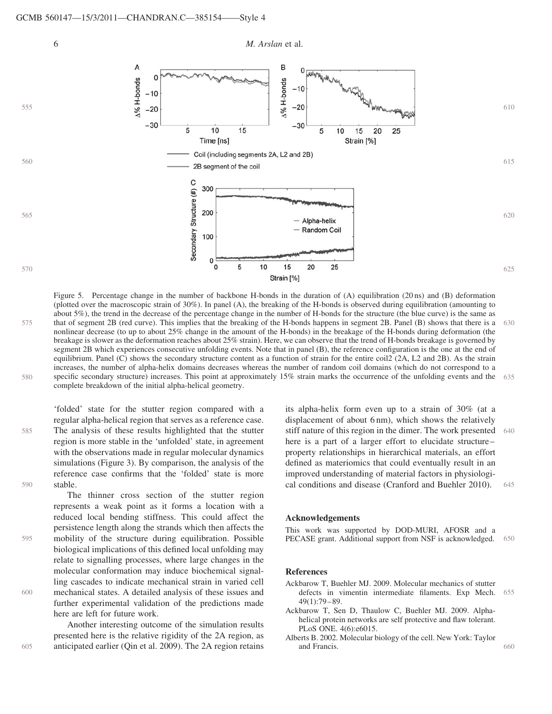

Figure 5. Percentage change in the number of backbone H-bonds in the duration of (A) equilibration (20 ns) and (B) deformation (plotted over the macroscopic strain of 30%). In panel (A), the breaking of the H-bonds is observed during equilibration (amounting to about 5%), the trend in the decrease of the percentage change in the number of H-bonds for the structure (the blue curve) is the same as that of segment 2B (red curve). This implies that the breaking of the H-bonds happens in segment 2B. Panel (B) shows that there is a nonlinear decrease (to up to about 25% change in the amount of the H-bonds) in the breakage of the H-bonds during deformation (the breakage is slower as the deformation reaches about 25% strain). Here, we can observe that the trend of H-bonds breakage is governed by segment 2B which experiences consecutive unfolding events. Note that in panel (B), the reference configuration is the one at the end of equilibrium. Panel (C) shows the secondary structure content as a function of strain for the entire coil2 (2A, L2 and 2B). As the strain increases, the number of alpha-helix domains decreases whereas the number of random coil domains (which do not correspond to a specific secondary structure) increases. This point at approximately 15% strain marks the occurrence of the unfolding events and the 635 complete breakdown of the initial alpha-helical geometry. 575 580 630

'folded' state for the stutter region compared with a regular alpha-helical region that serves as a reference case. The analysis of these results highlighted that the stutter region is more stable in the 'unfolded' state, in agreement with the observations made in regular molecular dynamics simulations (Figure 3). By comparison, the analysis of the reference case confirms that the 'folded' state is more stable.

The thinner cross section of the stutter region represents a weak point as it forms a location with a reduced local bending stiffness. This could affect the persistence length along the strands which then affects the mobility of the structure during equilibration. Possible biological implications of this defined local unfolding may relate to signalling processes, where large changes in the molecular conformation may induce biochemical signalling cascades to indicate mechanical strain in varied cell mechanical states. A detailed analysis of these issues and further experimental validation of the predictions made here are left for future work.

Another interesting outcome of the simulation results presented here is the relative rigidity of the 2A region, as anticipated earlier (Qin et al. 2009). The 2A region retains its alpha-helix form even up to a strain of 30% (at a displacement of about 6 nm), which shows the relatively stiff nature of this region in the dimer. The work presented 640 here is a part of a larger effort to elucidate structureproperty relationships in hierarchical materials, an effort defined as materiomics that could eventually result in an improved understanding of material factors in physiological conditions and disease (Cranford and Buehler 2010). 645

## Acknowledgements

This work was supported by DOD-MURI, AFOSR and a PECASE grant. Additional support from NSF is acknowledged. 650

## References

Ackbarow T, Buehler MJ. 2009. Molecular mechanics of stutter defects in vimentin intermediate filaments. Exp Mech. 49(1):79 – 89. 655

Ackbarow T, Sen D, Thaulow C, Buehler MJ. 2009. Alphahelical protein networks are self protective and flaw tolerant. PLoS ONE. 4(6):e6015.

Alberts B. 2002. Molecular biology of the cell. New York: Taylor and Francis.

605

585

590

595

600